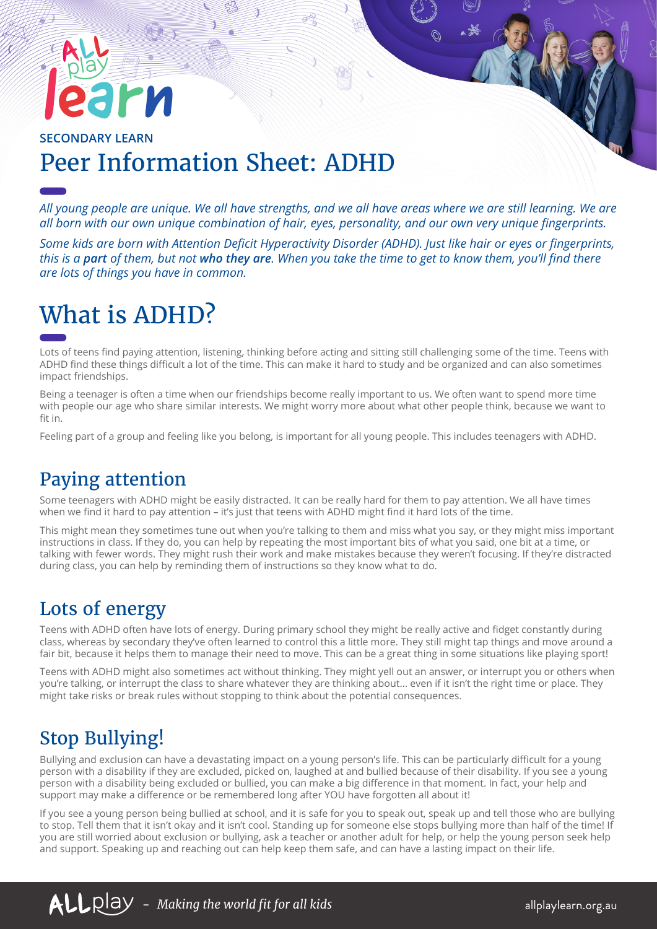# rи

#### Peer Information Sheet: ADHD **SECONDARY LEARN**

*All young people are unique. We all have strengths, and we all have areas where we are still learning. We are all born with our own unique combination of hair, eyes, personality, and our own very unique fingerprints.* 

*Some kids are born with Attention Deficit Hyperactivity Disorder (ADHD). Just like hair or eyes or fingerprints, this is a part of them, but not who they are. When you take the time to get to know them, you'll find there are lots of things you have in common.*

# What is ADHD?

Lots of teens find paying attention, listening, thinking before acting and sitting still challenging some of the time. Teens with ADHD find these things difficult a lot of the time. This can make it hard to study and be organized and can also sometimes impact friendships.

Being a teenager is often a time when our friendships become really important to us. We often want to spend more time with people our age who share similar interests. We might worry more about what other people think, because we want to fit in.

Feeling part of a group and feeling like you belong, is important for all young people. This includes teenagers with ADHD.

### Paying attention

Some teenagers with ADHD might be easily distracted. It can be really hard for them to pay attention. We all have times when we find it hard to pay attention – it's just that teens with ADHD might find it hard lots of the time.

This might mean they sometimes tune out when you're talking to them and miss what you say, or they might miss important instructions in class. If they do, you can help by repeating the most important bits of what you said, one bit at a time, or talking with fewer words. They might rush their work and make mistakes because they weren't focusing. If they're distracted during class, you can help by reminding them of instructions so they know what to do.

#### Lots of energy

Teens with ADHD often have lots of energy. During primary school they might be really active and fidget constantly during class, whereas by secondary they've often learned to control this a little more. They still might tap things and move around a fair bit, because it helps them to manage their need to move. This can be a great thing in some situations like playing sport!

Teens with ADHD might also sometimes act without thinking. They might yell out an answer, or interrupt you or others when you're talking, or interrupt the class to share whatever they are thinking about… even if it isn't the right time or place. They might take risks or break rules without stopping to think about the potential consequences.

## Stop Bullying!

Bullying and exclusion can have a devastating impact on a young person's life. This can be particularly difficult for a young person with a disability if they are excluded, picked on, laughed at and bullied because of their disability. If you see a young person with a disability being excluded or bullied, you can make a big difference in that moment. In fact, your help and support may make a difference or be remembered long after YOU have forgotten all about it!

If you see a young person being bullied at school, and it is safe for you to speak out, speak up and tell those who are bullying to stop. Tell them that it isn't okay and it isn't cool. Standing up for someone else stops bullying more than half of the time! If you are still worried about exclusion or bullying, ask a teacher or another adult for help, or help the young person seek help and support. Speaking up and reaching out can help keep them safe, and can have a lasting impact on their life.